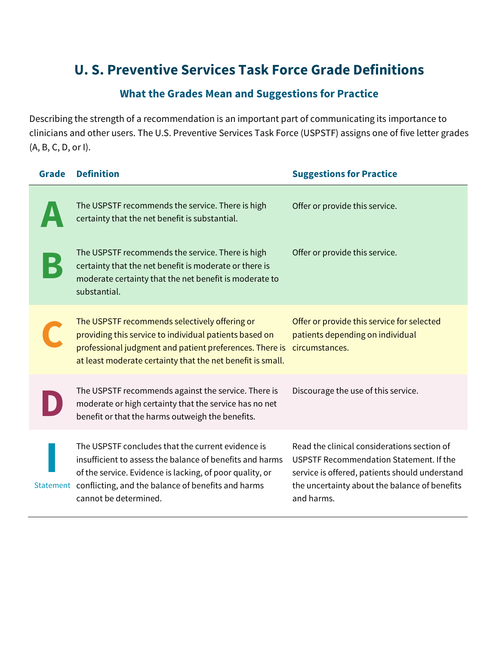## **U. S. Preventive Services Task Force Grade Definitions**

## **What the Grades Mean and Suggestions for Practice**

Describing the strength of a recommendation is an important part of communicating its importance to clinicians and other users. The U.S. Preventive Services Task Force (USPSTF) assigns one of five letter grades (A, B, C, D, or I).

| <b>Grade</b> | <b>Definition</b>                                                                                                                                                                                                                                        | <b>Suggestions for Practice</b>                                                                                                                                                                         |
|--------------|----------------------------------------------------------------------------------------------------------------------------------------------------------------------------------------------------------------------------------------------------------|---------------------------------------------------------------------------------------------------------------------------------------------------------------------------------------------------------|
|              | The USPSTF recommends the service. There is high<br>certainty that the net benefit is substantial.                                                                                                                                                       | Offer or provide this service.                                                                                                                                                                          |
|              | The USPSTF recommends the service. There is high<br>certainty that the net benefit is moderate or there is<br>moderate certainty that the net benefit is moderate to<br>substantial.                                                                     | Offer or provide this service.                                                                                                                                                                          |
|              | The USPSTF recommends selectively offering or<br>providing this service to individual patients based on<br>professional judgment and patient preferences. There is<br>at least moderate certainty that the net benefit is small.                         | Offer or provide this service for selected<br>patients depending on individual<br>circumstances.                                                                                                        |
|              | The USPSTF recommends against the service. There is<br>moderate or high certainty that the service has no net<br>benefit or that the harms outweigh the benefits.                                                                                        | Discourage the use of this service.                                                                                                                                                                     |
| Statement    | The USPSTF concludes that the current evidence is<br>insufficient to assess the balance of benefits and harms<br>of the service. Evidence is lacking, of poor quality, or<br>conflicting, and the balance of benefits and harms<br>cannot be determined. | Read the clinical considerations section of<br>USPSTF Recommendation Statement. If the<br>service is offered, patients should understand<br>the uncertainty about the balance of benefits<br>and harms. |